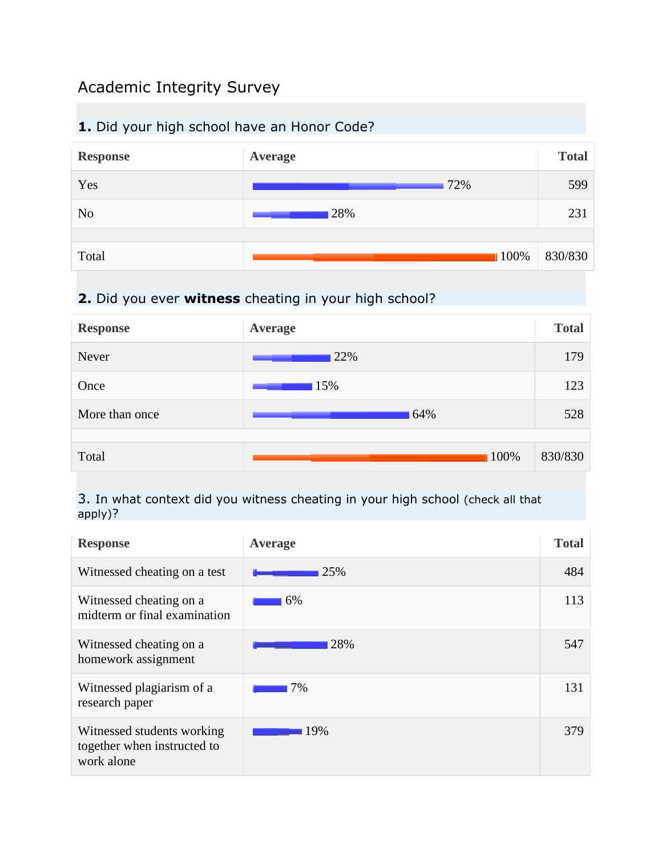# Academic Integrity Survey

## **1.** Did your high school have an Honor Code?



# **2.** Did you ever **witness** cheating in your high school?



#### 3. In what context did you witness cheating in your high school (check all that apply)?

| <b>Response</b>                                                         | <b>Average</b> | <b>Total</b> |
|-------------------------------------------------------------------------|----------------|--------------|
| Witnessed cheating on a test                                            | 25%            | 484          |
| Witnessed cheating on a<br>midterm or final examination                 | 6%             | 113          |
| Witnessed cheating on a<br>homework assignment                          | 28%            | 547          |
| Witnessed plagiarism of a<br>research paper                             | 7%             | 131          |
| Witnessed students working<br>together when instructed to<br>work alone | 19%            | 379          |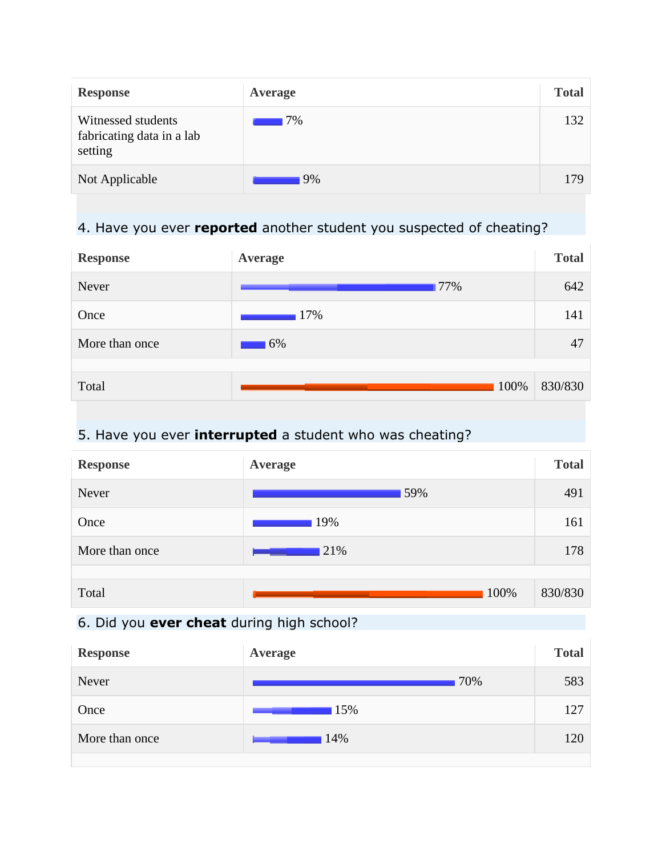| <b>Response</b>                                            | Average | <b>Total</b> |
|------------------------------------------------------------|---------|--------------|
| Witnessed students<br>fabricating data in a lab<br>setting | 17%     | 132          |
| Not Applicable                                             | 9%      | 179          |

## 4. Have you ever **reported** another student you suspected of cheating?

| <b>Response</b> | Average | <b>Total</b> |
|-----------------|---------|--------------|
| Never           | 77%     | 642          |
| Once            | 17%     | 141          |
| More than once  | 6%      | 47           |
|                 |         |              |
| Total           | 100%    | 830/830      |

## 5. Have you ever **interrupted** a student who was cheating?

| <b>Response</b> | Average | <b>Total</b> |
|-----------------|---------|--------------|
| Never           | 59%     | 491          |
| Once            | 19%     | 161          |
| More than once  | 21%     | 178          |
|                 |         |              |
| Total           | 100%    | 830/830      |

## 6. Did you **ever cheat** during high school?

| <b>Response</b> | <b>Average</b> | <b>Total</b> |
|-----------------|----------------|--------------|
| Never           | 70%            | 583          |
| Once            | 15%            | 127          |
| More than once  | 14%            | 120          |
|                 |                |              |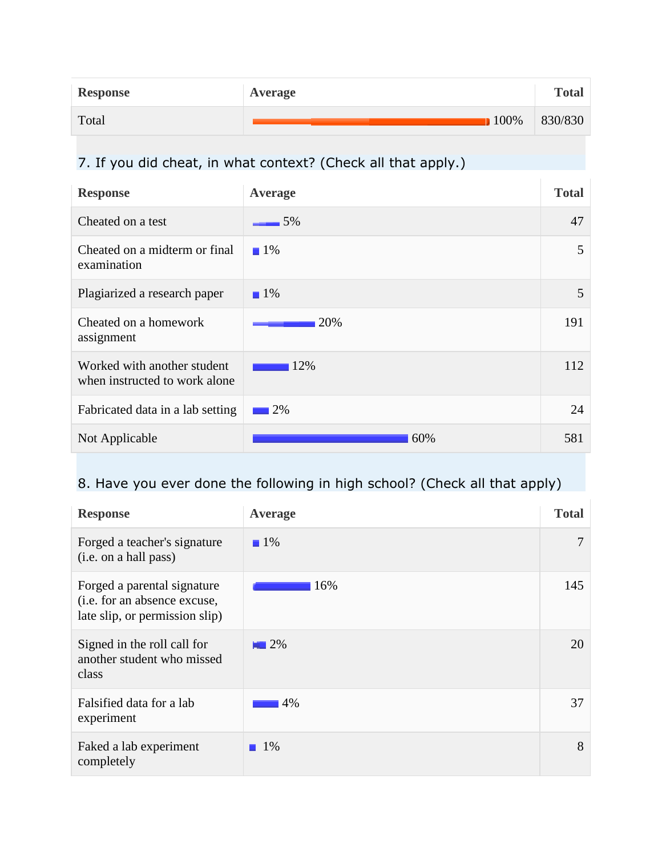| <b>Response</b> | Average | <b>Total</b> |
|-----------------|---------|--------------|
| Total           | $100\%$ | 830/830      |

# 7. If you did cheat, in what context? (Check all that apply.)

| <b>Response</b>                                              | Average           | <b>Total</b> |
|--------------------------------------------------------------|-------------------|--------------|
| Cheated on a test                                            | 5%                | 47           |
| Cheated on a midterm or final<br>examination                 | $\blacksquare$ 1% | 5            |
| Plagiarized a research paper                                 | $\blacksquare$ 1% | 5            |
| Cheated on a homework<br>assignment                          | 20%               | 191          |
| Worked with another student<br>when instructed to work alone | 12%               | 112          |
| Fabricated data in a lab setting                             | 2%                | 24           |
| Not Applicable                                               | 60%               | 581          |

# 8. Have you ever done the following in high school? (Check all that apply)

| <b>Response</b>                                                                               | Average           | <b>Total</b> |
|-----------------------------------------------------------------------------------------------|-------------------|--------------|
| Forged a teacher's signature<br>(i.e. on a hall pass)                                         | $\blacksquare$ 1% | 7            |
| Forged a parental signature<br>(i.e. for an absence excuse,<br>late slip, or permission slip) | 16%               | 145          |
| Signed in the roll call for<br>another student who missed<br>class                            | $\blacksquare$ 2% | 20           |
| Falsified data for a lab<br>experiment                                                        | 4%                | 37           |
| Faked a lab experiment<br>completely                                                          | $\blacksquare$ 1% | 8            |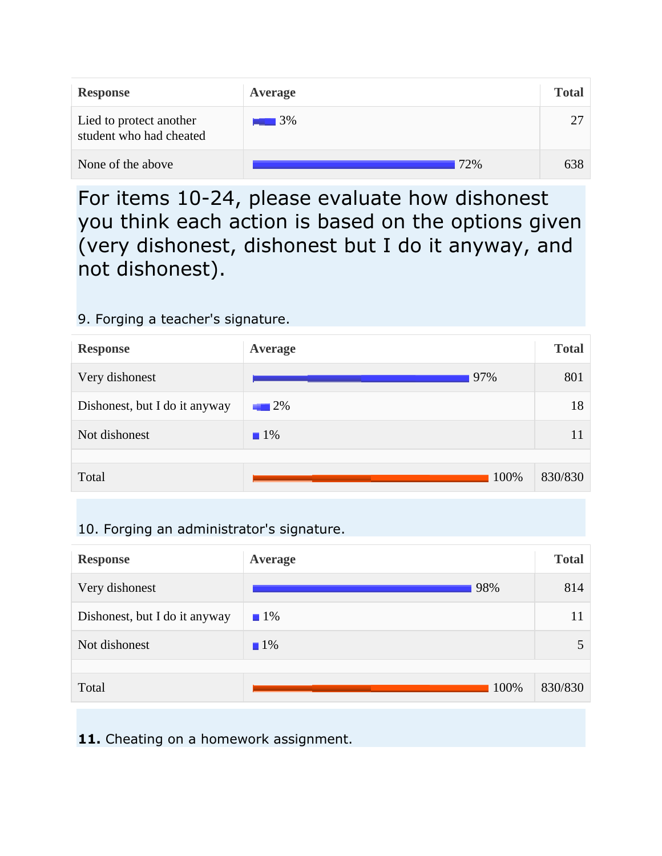| <b>Response</b>                                    | Average           | <b>Total</b> |
|----------------------------------------------------|-------------------|--------------|
| Lied to protect another<br>student who had cheated | $\blacksquare$ 3% | 27           |
| None of the above                                  | 72%               | 638          |

For items 10-24, please evaluate how dishonest you think each action is based on the options given (very dishonest, dishonest but I do it anyway, and not dishonest).

### 9. Forging a teacher's signature.



## 10. Forging an administrator's signature.

| <b>Response</b>               | <b>Average</b>    | <b>Total</b> |
|-------------------------------|-------------------|--------------|
| Very dishonest                | 98%               | 814          |
| Dishonest, but I do it anyway | $\blacksquare$ 1% | 11           |
| Not dishonest                 | $1\%$             |              |
|                               |                   |              |
| Total                         | 100%              | 830/830      |

11. Cheating on a homework assignment.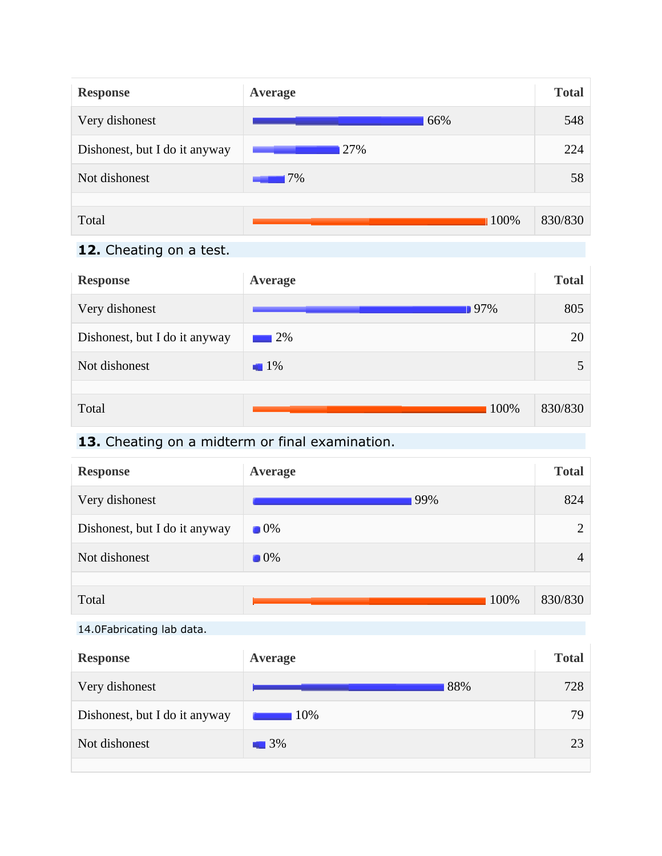

## **12.** Cheating on a test.

| <b>Response</b>               | Average           | <b>Total</b> |
|-------------------------------|-------------------|--------------|
| Very dishonest                | $97\%$            | 805          |
| Dishonest, but I do it anyway | $\blacksquare$ 2% | 20           |
| Not dishonest                 | $1\%$             |              |
|                               |                   |              |
| Total                         | 100%              | 830/830      |

#### **13.** Cheating on a midterm or final examination.

| <b>Response</b>               | Average           | <b>Total</b>   |
|-------------------------------|-------------------|----------------|
| Very dishonest                | 99%               | 824            |
| Dishonest, but I do it anyway | $\blacksquare$ 0% | $\overline{2}$ |
| Not dishonest                 | $\blacksquare$ 0% | 4              |
|                               |                   |                |
| Total                         | 100%              | 830/830        |

#### 14.0Fabricating lab data.

| <b>Response</b>               | Average           | <b>Total</b> |
|-------------------------------|-------------------|--------------|
| Very dishonest                | 88%               | 728          |
| Dishonest, but I do it anyway | 10%               | 79           |
| Not dishonest                 | $\blacksquare$ 3% | 23           |
|                               |                   |              |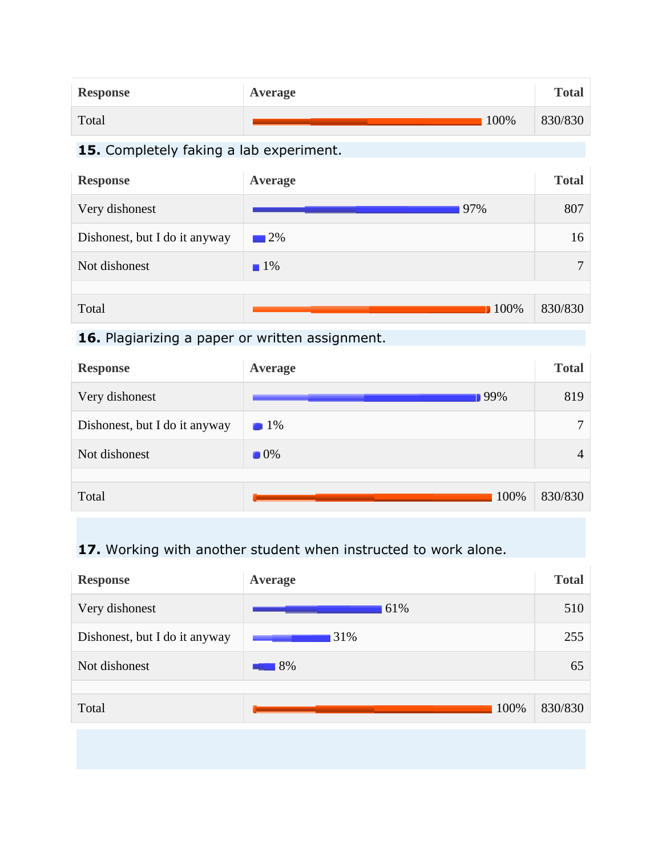| <b>Response</b> | Average | <b>Total</b> |
|-----------------|---------|--------------|
| Total           | 100%    | 830/830      |

## **15.** Completely faking a lab experiment.

| <b>Response</b>               | Average           | <b>Total</b> |
|-------------------------------|-------------------|--------------|
| Very dishonest                | 97%               | 807          |
| Dishonest, but I do it anyway | $\Box$ 2%         | 16           |
| Not dishonest                 | $\blacksquare$ 1% | $\mathbf{r}$ |
|                               |                   |              |
| Total                         | <b>100%</b>       | 830/830      |

# 16. Plagiarizing a paper or written assignment.

| <b>Response</b>               | Average           | <b>Total</b> |
|-------------------------------|-------------------|--------------|
| Very dishonest                | 99%               | 819          |
| Dishonest, but I do it anyway | $\blacksquare$ 1% | ┓            |
| Not dishonest                 | $\blacksquare$ 0% | 4            |
|                               |                   |              |
| Total                         | 100%              | 830/830      |

## **17.** Working with another student when instructed to work alone.

| <b>Response</b>               | <b>Average</b> | <b>Total</b> |
|-------------------------------|----------------|--------------|
| Very dishonest                | 61%            | 510          |
| Dishonest, but I do it anyway | 31%            | 255          |
| Not dishonest                 | 8%             | 65           |
|                               |                |              |
| Total                         | 100%           | 830/830      |
|                               |                |              |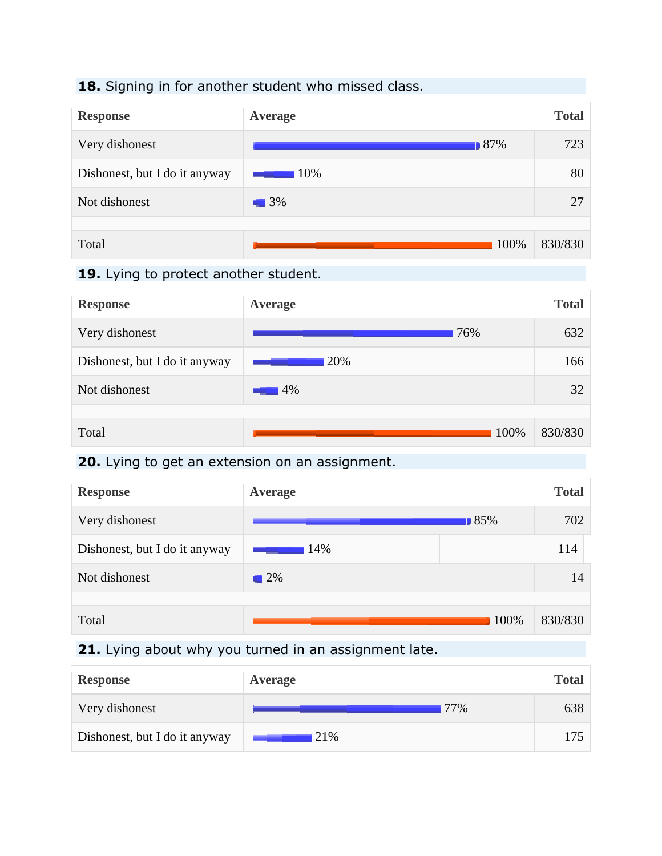#### **18.** Signing in for another student who missed class.



#### **19.** Lying to protect another student.



#### **20.** Lying to get an extension on an assignment.

| <b>Response</b>               | Average           |             | <b>Total</b> |
|-------------------------------|-------------------|-------------|--------------|
| Very dishonest                |                   | 185%        | 702          |
| Dishonest, but I do it anyway | 14%               |             | 114          |
| Not dishonest                 | $\blacksquare$ 2% |             | 14           |
|                               |                   |             |              |
| Total                         |                   | <b>100%</b> | 830/830      |

## **21.** Lying about why you turned in an assignment late.

| <b>Response</b>               | Average | <b>Total</b> |
|-------------------------------|---------|--------------|
| Very dishonest                | 77%     | 638          |
| Dishonest, but I do it anyway | 21\%    | 175          |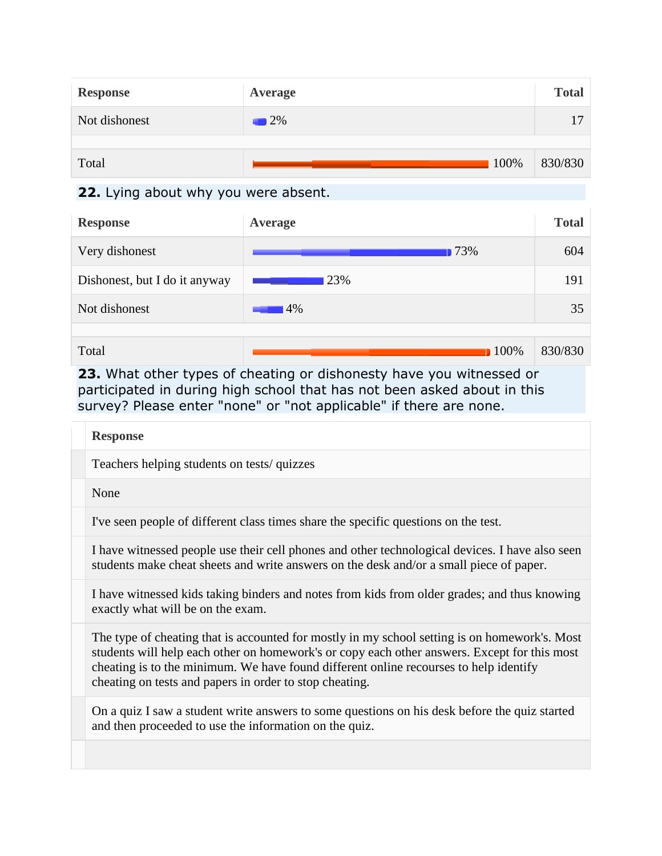| <b>Response</b> | Average | <b>Total</b> |
|-----------------|---------|--------------|
| Not dishonest   | 2%      | 17           |
|                 |         |              |
| Total           | 100%    | 830/830      |

### **22.** Lying about why you were absent.

| <b>Response</b>               | Average | <b>Total</b> |
|-------------------------------|---------|--------------|
| Very dishonest                | 173%    | 604          |
| Dishonest, but I do it anyway | 23%     | 191          |
| Not dishonest                 | 14%     | 35           |
|                               |         |              |
| Total                         | $100\%$ | 830/830      |

**23.** What other types of cheating or dishonesty have you witnessed or participated in during high school that has not been asked about in this survey? Please enter "none" or "not applicable" if there are none.

| <b>Response</b>                                                                                                                                                                                                                                                                                                                                   |
|---------------------------------------------------------------------------------------------------------------------------------------------------------------------------------------------------------------------------------------------------------------------------------------------------------------------------------------------------|
| Teachers helping students on tests/quizzes                                                                                                                                                                                                                                                                                                        |
| None                                                                                                                                                                                                                                                                                                                                              |
| I've seen people of different class times share the specific questions on the test.                                                                                                                                                                                                                                                               |
| I have witnessed people use their cell phones and other technological devices. I have also seen<br>students make cheat sheets and write answers on the desk and/or a small piece of paper.                                                                                                                                                        |
| I have witnessed kids taking binders and notes from kids from older grades; and thus knowing<br>exactly what will be on the exam.                                                                                                                                                                                                                 |
| The type of cheating that is accounted for mostly in my school setting is on homework's. Most<br>students will help each other on homework's or copy each other answers. Except for this most<br>cheating is to the minimum. We have found different online recourses to help identify<br>cheating on tests and papers in order to stop cheating. |
| On a quiz I saw a student write answers to some questions on his desk before the quiz started<br>and then proceeded to use the information on the quiz.                                                                                                                                                                                           |
|                                                                                                                                                                                                                                                                                                                                                   |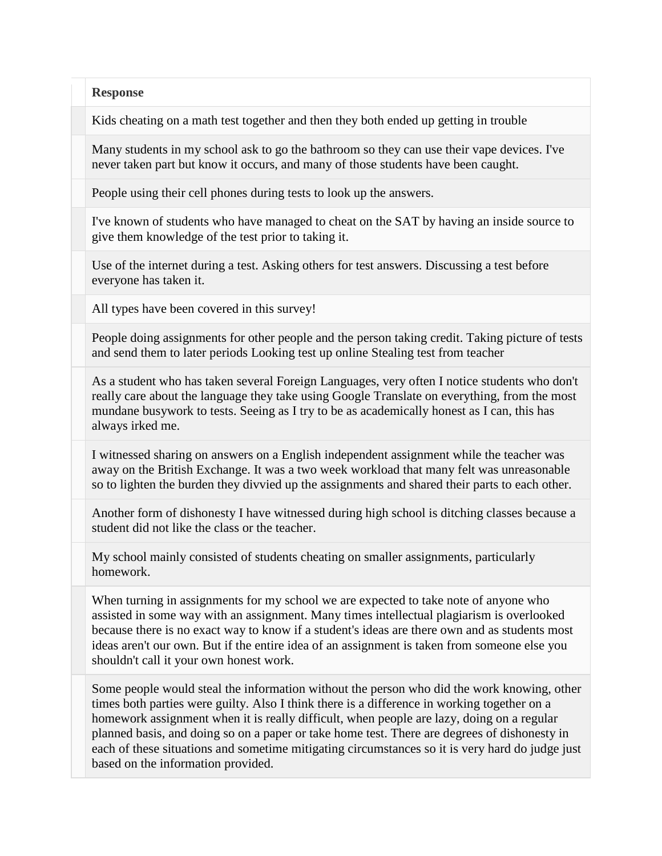Kids cheating on a math test together and then they both ended up getting in trouble

Many students in my school ask to go the bathroom so they can use their vape devices. I've never taken part but know it occurs, and many of those students have been caught.

People using their cell phones during tests to look up the answers.

I've known of students who have managed to cheat on the SAT by having an inside source to give them knowledge of the test prior to taking it.

Use of the internet during a test. Asking others for test answers. Discussing a test before everyone has taken it.

All types have been covered in this survey!

People doing assignments for other people and the person taking credit. Taking picture of tests and send them to later periods Looking test up online Stealing test from teacher

As a student who has taken several Foreign Languages, very often I notice students who don't really care about the language they take using Google Translate on everything, from the most mundane busywork to tests. Seeing as I try to be as academically honest as I can, this has always irked me.

I witnessed sharing on answers on a English independent assignment while the teacher was away on the British Exchange. It was a two week workload that many felt was unreasonable so to lighten the burden they divvied up the assignments and shared their parts to each other.

Another form of dishonesty I have witnessed during high school is ditching classes because a student did not like the class or the teacher.

My school mainly consisted of students cheating on smaller assignments, particularly homework.

When turning in assignments for my school we are expected to take note of anyone who assisted in some way with an assignment. Many times intellectual plagiarism is overlooked because there is no exact way to know if a student's ideas are there own and as students most ideas aren't our own. But if the entire idea of an assignment is taken from someone else you shouldn't call it your own honest work.

Some people would steal the information without the person who did the work knowing, other times both parties were guilty. Also I think there is a difference in working together on a homework assignment when it is really difficult, when people are lazy, doing on a regular planned basis, and doing so on a paper or take home test. There are degrees of dishonesty in each of these situations and sometime mitigating circumstances so it is very hard do judge just based on the information provided.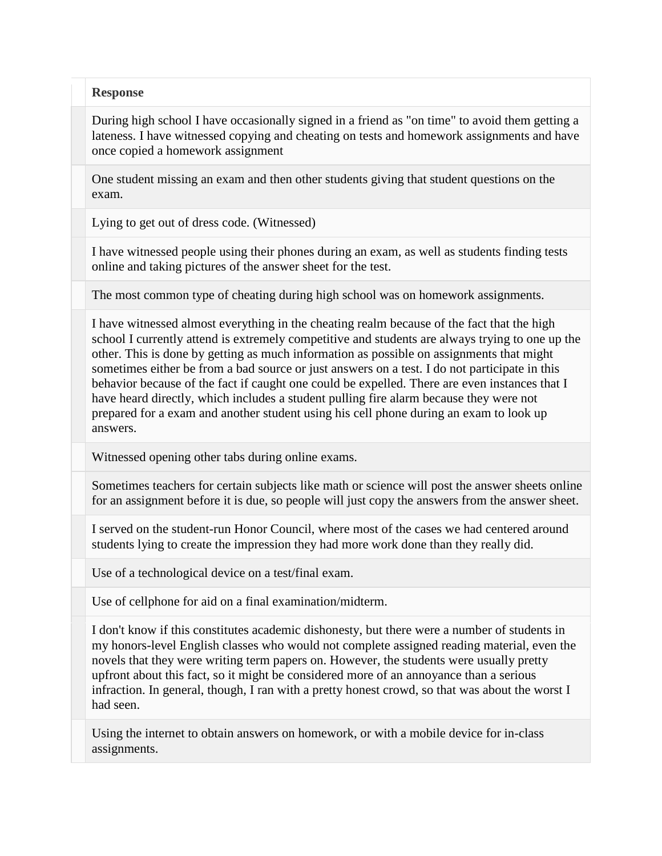During high school I have occasionally signed in a friend as "on time" to avoid them getting a lateness. I have witnessed copying and cheating on tests and homework assignments and have once copied a homework assignment

One student missing an exam and then other students giving that student questions on the exam.

Lying to get out of dress code. (Witnessed)

I have witnessed people using their phones during an exam, as well as students finding tests online and taking pictures of the answer sheet for the test.

The most common type of cheating during high school was on homework assignments.

I have witnessed almost everything in the cheating realm because of the fact that the high school I currently attend is extremely competitive and students are always trying to one up the other. This is done by getting as much information as possible on assignments that might sometimes either be from a bad source or just answers on a test. I do not participate in this behavior because of the fact if caught one could be expelled. There are even instances that I have heard directly, which includes a student pulling fire alarm because they were not prepared for a exam and another student using his cell phone during an exam to look up answers.

Witnessed opening other tabs during online exams.

Sometimes teachers for certain subjects like math or science will post the answer sheets online for an assignment before it is due, so people will just copy the answers from the answer sheet.

I served on the student-run Honor Council, where most of the cases we had centered around students lying to create the impression they had more work done than they really did.

Use of a technological device on a test/final exam.

Use of cellphone for aid on a final examination/midterm.

I don't know if this constitutes academic dishonesty, but there were a number of students in my honors-level English classes who would not complete assigned reading material, even the novels that they were writing term papers on. However, the students were usually pretty upfront about this fact, so it might be considered more of an annoyance than a serious infraction. In general, though, I ran with a pretty honest crowd, so that was about the worst I had seen.

Using the internet to obtain answers on homework, or with a mobile device for in-class assignments.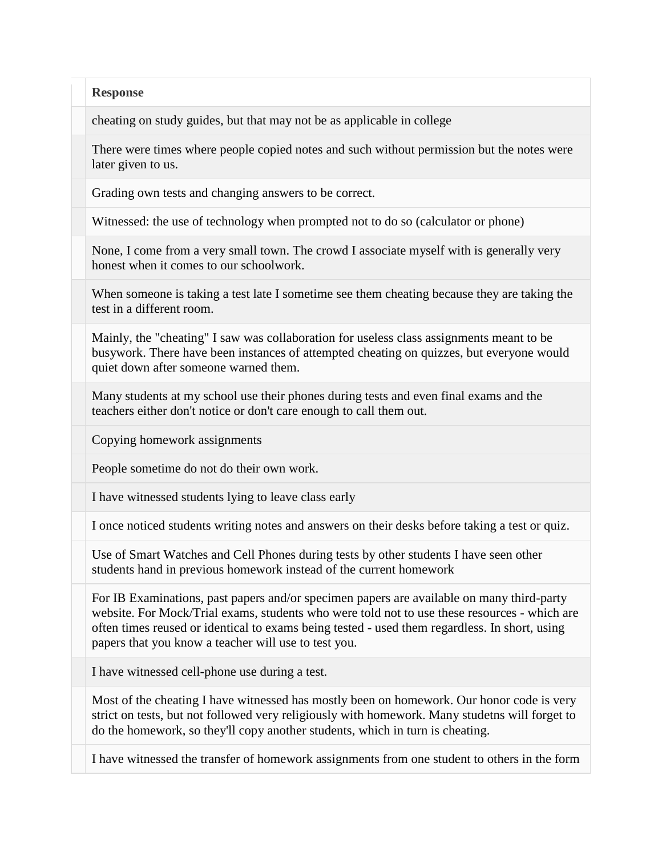cheating on study guides, but that may not be as applicable in college

There were times where people copied notes and such without permission but the notes were later given to us.

Grading own tests and changing answers to be correct.

Witnessed: the use of technology when prompted not to do so (calculator or phone)

None, I come from a very small town. The crowd I associate myself with is generally very honest when it comes to our schoolwork.

When someone is taking a test late I sometime see them cheating because they are taking the test in a different room.

Mainly, the "cheating" I saw was collaboration for useless class assignments meant to be busywork. There have been instances of attempted cheating on quizzes, but everyone would quiet down after someone warned them.

Many students at my school use their phones during tests and even final exams and the teachers either don't notice or don't care enough to call them out.

Copying homework assignments

People sometime do not do their own work.

I have witnessed students lying to leave class early

I once noticed students writing notes and answers on their desks before taking a test or quiz.

Use of Smart Watches and Cell Phones during tests by other students I have seen other students hand in previous homework instead of the current homework

For IB Examinations, past papers and/or specimen papers are available on many third-party website. For Mock/Trial exams, students who were told not to use these resources - which are often times reused or identical to exams being tested - used them regardless. In short, using papers that you know a teacher will use to test you.

I have witnessed cell-phone use during a test.

Most of the cheating I have witnessed has mostly been on homework. Our honor code is very strict on tests, but not followed very religiously with homework. Many studetns will forget to do the homework, so they'll copy another students, which in turn is cheating.

I have witnessed the transfer of homework assignments from one student to others in the form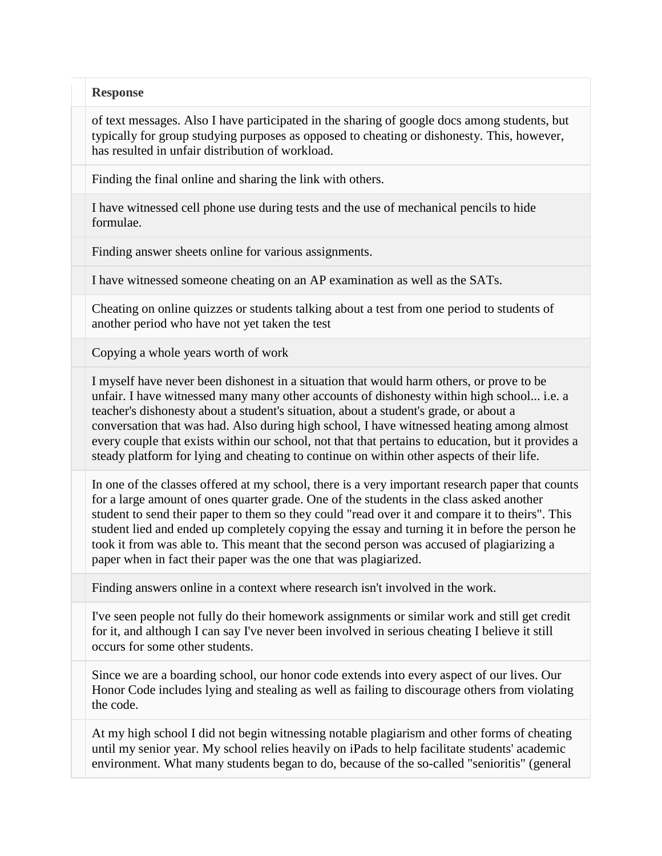of text messages. Also I have participated in the sharing of google docs among students, but typically for group studying purposes as opposed to cheating or dishonesty. This, however, has resulted in unfair distribution of workload.

Finding the final online and sharing the link with others.

I have witnessed cell phone use during tests and the use of mechanical pencils to hide formulae.

Finding answer sheets online for various assignments.

I have witnessed someone cheating on an AP examination as well as the SATs.

Cheating on online quizzes or students talking about a test from one period to students of another period who have not yet taken the test

Copying a whole years worth of work

I myself have never been dishonest in a situation that would harm others, or prove to be unfair. I have witnessed many many other accounts of dishonesty within high school... i.e. a teacher's dishonesty about a student's situation, about a student's grade, or about a conversation that was had. Also during high school, I have witnessed heating among almost every couple that exists within our school, not that that pertains to education, but it provides a steady platform for lying and cheating to continue on within other aspects of their life.

In one of the classes offered at my school, there is a very important research paper that counts for a large amount of ones quarter grade. One of the students in the class asked another student to send their paper to them so they could "read over it and compare it to theirs". This student lied and ended up completely copying the essay and turning it in before the person he took it from was able to. This meant that the second person was accused of plagiarizing a paper when in fact their paper was the one that was plagiarized.

Finding answers online in a context where research isn't involved in the work.

I've seen people not fully do their homework assignments or similar work and still get credit for it, and although I can say I've never been involved in serious cheating I believe it still occurs for some other students.

Since we are a boarding school, our honor code extends into every aspect of our lives. Our Honor Code includes lying and stealing as well as failing to discourage others from violating the code.

At my high school I did not begin witnessing notable plagiarism and other forms of cheating until my senior year. My school relies heavily on iPads to help facilitate students' academic environment. What many students began to do, because of the so-called "senioritis" (general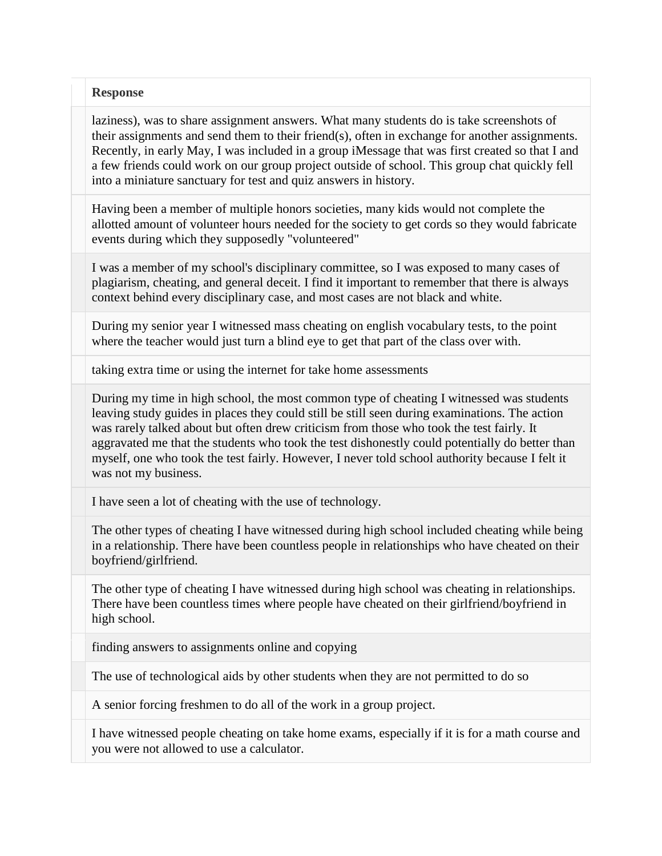laziness), was to share assignment answers. What many students do is take screenshots of their assignments and send them to their friend(s), often in exchange for another assignments. Recently, in early May, I was included in a group iMessage that was first created so that I and a few friends could work on our group project outside of school. This group chat quickly fell into a miniature sanctuary for test and quiz answers in history.

Having been a member of multiple honors societies, many kids would not complete the allotted amount of volunteer hours needed for the society to get cords so they would fabricate events during which they supposedly "volunteered"

I was a member of my school's disciplinary committee, so I was exposed to many cases of plagiarism, cheating, and general deceit. I find it important to remember that there is always context behind every disciplinary case, and most cases are not black and white.

During my senior year I witnessed mass cheating on english vocabulary tests, to the point where the teacher would just turn a blind eye to get that part of the class over with.

taking extra time or using the internet for take home assessments

During my time in high school, the most common type of cheating I witnessed was students leaving study guides in places they could still be still seen during examinations. The action was rarely talked about but often drew criticism from those who took the test fairly. It aggravated me that the students who took the test dishonestly could potentially do better than myself, one who took the test fairly. However, I never told school authority because I felt it was not my business.

I have seen a lot of cheating with the use of technology.

The other types of cheating I have witnessed during high school included cheating while being in a relationship. There have been countless people in relationships who have cheated on their boyfriend/girlfriend.

The other type of cheating I have witnessed during high school was cheating in relationships. There have been countless times where people have cheated on their girlfriend/boyfriend in high school.

finding answers to assignments online and copying

The use of technological aids by other students when they are not permitted to do so

A senior forcing freshmen to do all of the work in a group project.

I have witnessed people cheating on take home exams, especially if it is for a math course and you were not allowed to use a calculator.